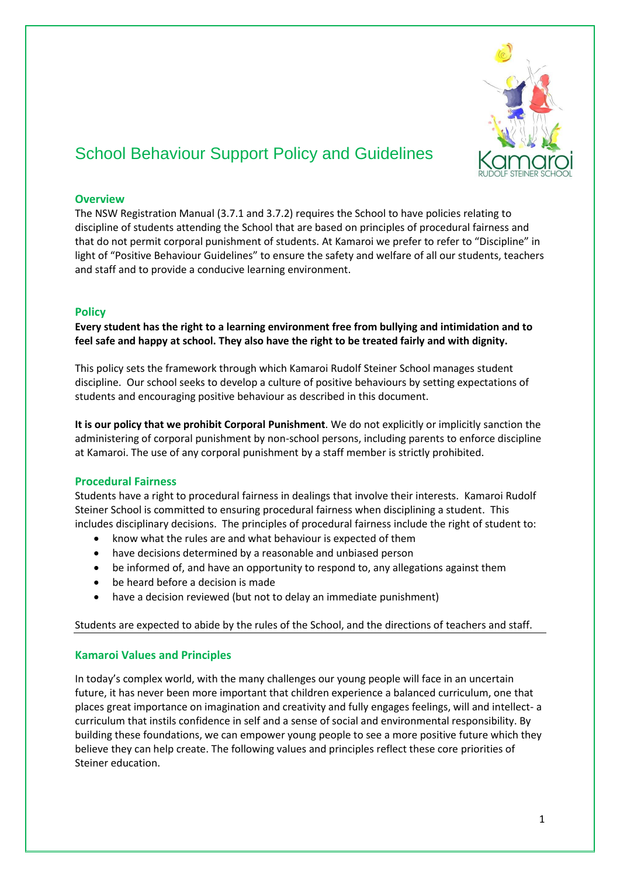

# School Behaviour Support Policy and Guidelines

# **Overview**

The NSW Registration Manual (3.7.1 and 3.7.2) requires the School to have policies relating to discipline of students attending the School that are based on principles of procedural fairness and that do not permit corporal punishment of students. At Kamaroi we prefer to refer to "Discipline" in light of "Positive Behaviour Guidelines" to ensure the safety and welfare of all our students, teachers and staff and to provide a conducive learning environment.

# **Policy**

**Every student has the right to a learning environment free from bullying and intimidation and to feel safe and happy at school. They also have the right to be treated fairly and with dignity.**

This policy sets the framework through which Kamaroi Rudolf Steiner School manages student discipline. Our school seeks to develop a culture of positive behaviours by setting expectations of students and encouraging positive behaviour as described in this document.

**It is our policy that we prohibit Corporal Punishment**. We do not explicitly or implicitly sanction the administering of corporal punishment by non-school persons, including parents to enforce discipline at Kamaroi. The use of any corporal punishment by a staff member is strictly prohibited.

## **Procedural Fairness**

Students have a right to procedural fairness in dealings that involve their interests. Kamaroi Rudolf Steiner School is committed to ensuring procedural fairness when disciplining a student. This includes disciplinary decisions. The principles of procedural fairness include the right of student to:

- know what the rules are and what behaviour is expected of them
- have decisions determined by a reasonable and unbiased person
- be informed of, and have an opportunity to respond to, any allegations against them
- be heard before a decision is made
- have a decision reviewed (but not to delay an immediate punishment)

## Students are expected to abide by the rules of the School, and the directions of teachers and staff.

## **Kamaroi Values and Principles**

In today's complex world, with the many challenges our young people will face in an uncertain future, it has never been more important that children experience a balanced curriculum, one that places great importance on imagination and creativity and fully engages feelings, will and intellect- a curriculum that instils confidence in self and a sense of social and environmental responsibility. By building these foundations, we can empower young people to see a more positive future which they believe they can help create. The following values and principles reflect these core priorities of Steiner education.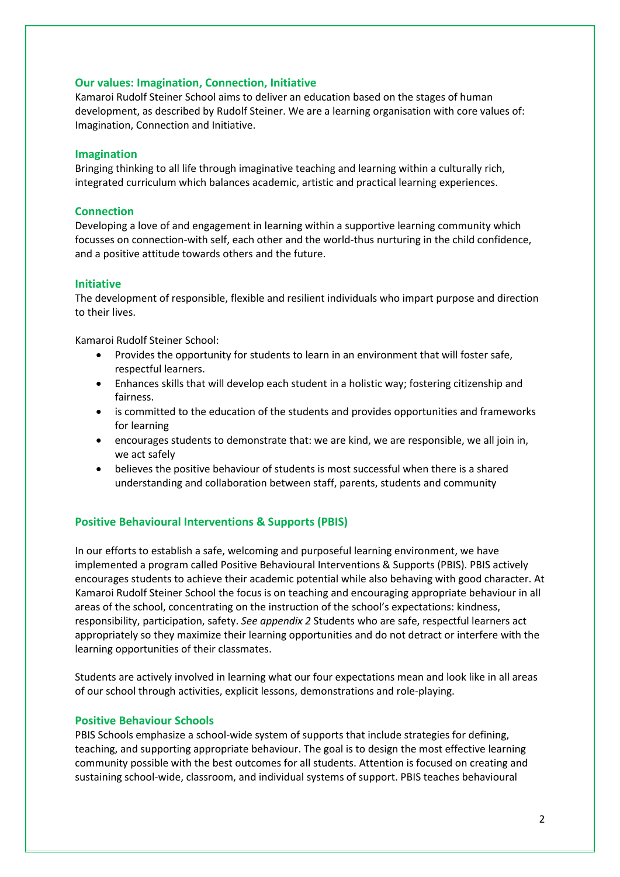## **Our values: Imagination, Connection, Initiative**

Kamaroi Rudolf Steiner School aims to deliver an education based on the stages of human development, as described by Rudolf Steiner. We are a learning organisation with core values of: Imagination, Connection and Initiative.

## **Imagination**

Bringing thinking to all life through imaginative teaching and learning within a culturally rich, integrated curriculum which balances academic, artistic and practical learning experiences.

# **Connection**

Developing a love of and engagement in learning within a supportive learning community which focusses on connection-with self, each other and the world-thus nurturing in the child confidence, and a positive attitude towards others and the future.

## **Initiative**

The development of responsible, flexible and resilient individuals who impart purpose and direction to their lives.

Kamaroi Rudolf Steiner School:

- Provides the opportunity for students to learn in an environment that will foster safe, respectful learners.
- Enhances skills that will develop each student in a holistic way; fostering citizenship and fairness.
- is committed to the education of the students and provides opportunities and frameworks for learning
- encourages students to demonstrate that: we are kind, we are responsible, we all join in, we act safely
- believes the positive behaviour of students is most successful when there is a shared understanding and collaboration between staff, parents, students and community

# **Positive Behavioural Interventions & Supports (PBIS)**

In our efforts to establish a safe, welcoming and purposeful learning environment, we have implemented a program called Positive Behavioural Interventions & Supports (PBIS). PBIS actively encourages students to achieve their academic potential while also behaving with good character. At Kamaroi Rudolf Steiner School the focus is on teaching and encouraging appropriate behaviour in all areas of the school, concentrating on the instruction of the school's expectations: kindness, responsibility, participation, safety. *See appendix 2* Students who are safe, respectful learners act appropriately so they maximize their learning opportunities and do not detract or interfere with the learning opportunities of their classmates.

Students are actively involved in learning what our four expectations mean and look like in all areas of our school through activities, explicit lessons, demonstrations and role-playing.

## **Positive Behaviour Schools**

PBIS Schools emphasize a school-wide system of supports that include strategies for defining, teaching, and supporting appropriate behaviour. The goal is to design the most effective learning community possible with the best outcomes for all students. Attention is focused on creating and sustaining school-wide, classroom, and individual systems of support. PBIS teaches behavioural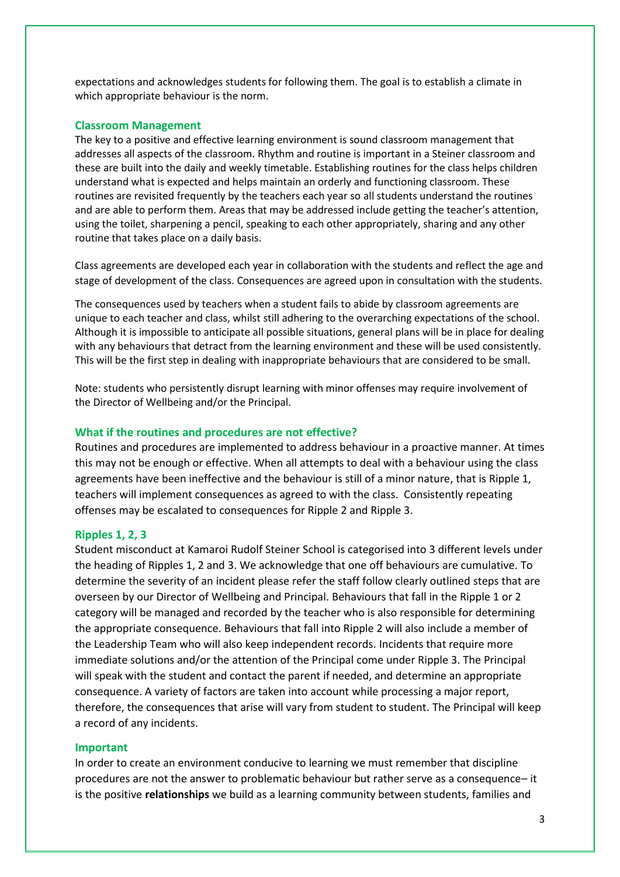expectations and acknowledges students for following them. The goal is to establish a climate in which appropriate behaviour is the norm.

#### **Classroom Management**

The key to a positive and effective learning environment is sound classroom management that addresses all aspects of the classroom. Rhythm and routine is important in a Steiner classroom and these are built into the daily and weekly timetable. Establishing routines for the class helps children understand what is expected and helps maintain an orderly and functioning classroom. These routines are revisited frequently by the teachers each year so all students understand the routines and are able to perform them. Areas that may be addressed include getting the teacher's attention, using the toilet, sharpening a pencil, speaking to each other appropriately, sharing and any other routine that takes place on a daily basis.

Class agreements are developed each year in collaboration with the students and reflect the age and stage of development of the class. Consequences are agreed upon in consultation with the students.

The consequences used by teachers when a student fails to abide by classroom agreements are unique to each teacher and class, whilst still adhering to the overarching expectations of the school. Although it is impossible to anticipate all possible situations, general plans will be in place for dealing with any behaviours that detract from the learning environment and these will be used consistently. This will be the first step in dealing with inappropriate behaviours that are considered to be small.

Note: students who persistently disrupt learning with minor offenses may require involvement of the Director of Wellbeing and/or the Principal.

#### **What if the routines and procedures are not effective?**

Routines and procedures are implemented to address behaviour in a proactive manner. At times this may not be enough or effective. When all attempts to deal with a behaviour using the class agreements have been ineffective and the behaviour is still of a minor nature, that is Ripple 1, teachers will implement consequences as agreed to with the class. Consistently repeating offenses may be escalated to consequences for Ripple 2 and Ripple 3.

#### **Ripples 1, 2, 3**

Student misconduct at Kamaroi Rudolf Steiner School is categorised into 3 different levels under the heading of Ripples 1, 2 and 3. We acknowledge that one off behaviours are cumulative. To determine the severity of an incident please refer the staff follow clearly outlined steps that are overseen by our Director of Wellbeing and Principal. Behaviours that fall in the Ripple 1 or 2 category will be managed and recorded by the teacher who is also responsible for determining the appropriate consequence. Behaviours that fall into Ripple 2 will also include a member of the Leadership Team who will also keep independent records. Incidents that require more immediate solutions and/or the attention of the Principal come under Ripple 3. The Principal will speak with the student and contact the parent if needed, and determine an appropriate consequence. A variety of factors are taken into account while processing a major report, therefore, the consequences that arise will vary from student to student. The Principal will keep a record of any incidents.

#### **Important**

In order to create an environment conducive to learning we must remember that discipline procedures are not the answer to problematic behaviour but rather serve as a consequence– it is the positive **relationships** we build as a learning community between students, families and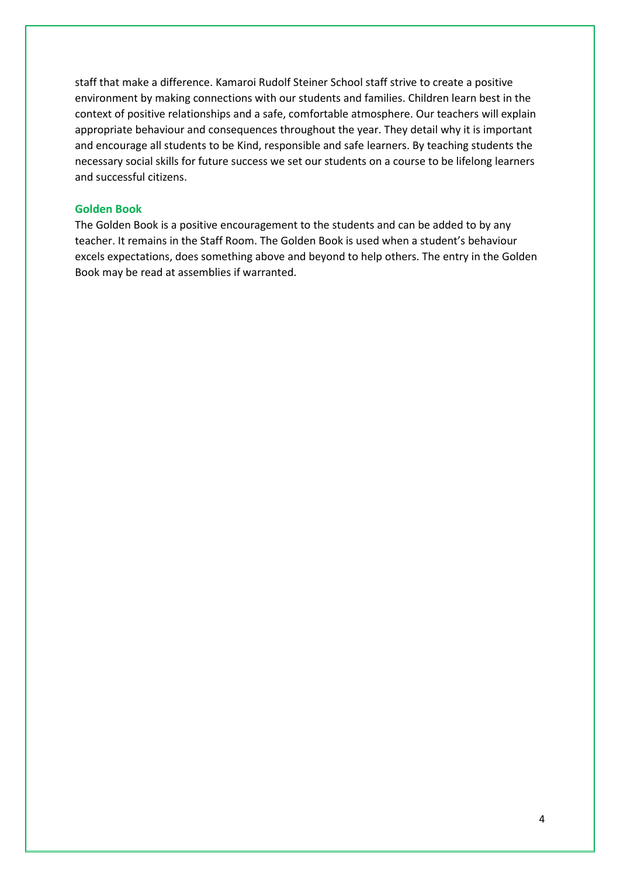staff that make a difference. Kamaroi Rudolf Steiner School staff strive to create a positive environment by making connections with our students and families. Children learn best in the context of positive relationships and a safe, comfortable atmosphere. Our teachers will explain appropriate behaviour and consequences throughout the year. They detail why it is important and encourage all students to be Kind, responsible and safe learners. By teaching students the necessary social skills for future success we set our students on a course to be lifelong learners and successful citizens.

## **Golden Book**

The Golden Book is a positive encouragement to the students and can be added to by any teacher. It remains in the Staff Room. The Golden Book is used when a student's behaviour excels expectations, does something above and beyond to help others. The entry in the Golden Book may be read at assemblies if warranted.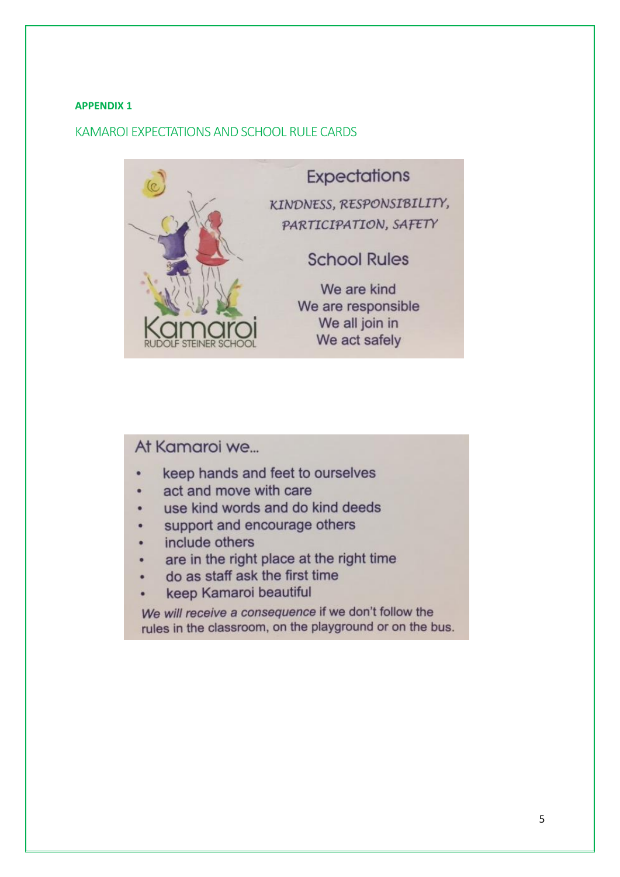## **APPENDIX 1**

# KAMAROI EXPECTATIONS AND SCHOOL RULE CARDS



# At Kamaroi we...

- keep hands and feet to ourselves
- act and move with care
- use kind words and do kind deeds
- support and encourage others
- include others
- are in the right place at the right time
- do as staff ask the first time
- keep Kamaroi beautiful

We will receive a consequence if we don't follow the rules in the classroom, on the playground or on the bus.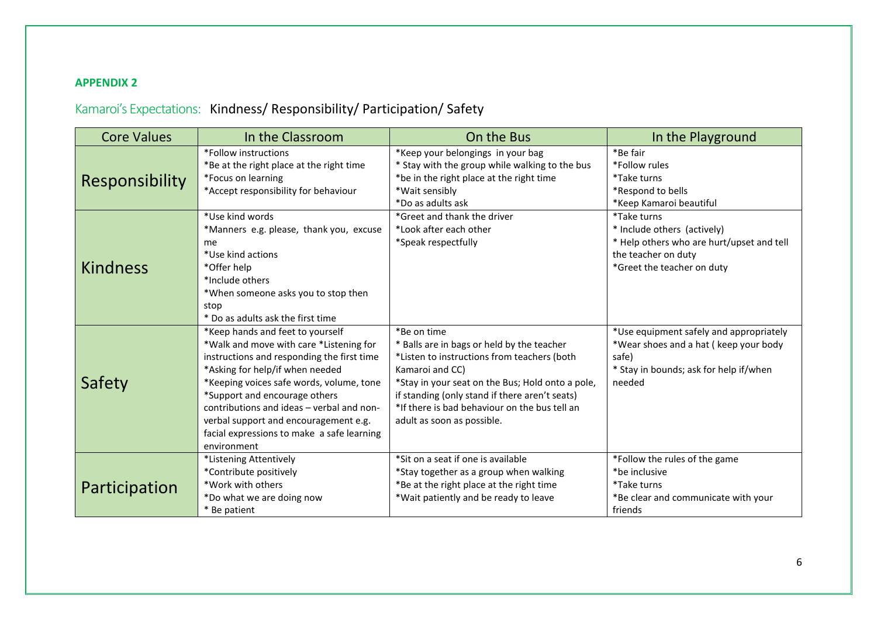# **APPENDIX 2**

# Kamaroi's Expectations: Kindness/ Responsibility/ Participation/ Safety

| <b>Core Values</b><br>In the Classroom |                                                                                                                                                                                                                                                                                                                                                                                              | On the Bus                                                                                                                                                                                                                                                                                                       | In the Playground                                                                                                                                   |  |
|----------------------------------------|----------------------------------------------------------------------------------------------------------------------------------------------------------------------------------------------------------------------------------------------------------------------------------------------------------------------------------------------------------------------------------------------|------------------------------------------------------------------------------------------------------------------------------------------------------------------------------------------------------------------------------------------------------------------------------------------------------------------|-----------------------------------------------------------------------------------------------------------------------------------------------------|--|
| <b>Responsibility</b>                  | *Follow instructions<br>*Be at the right place at the right time<br>*Focus on learning<br>*Accept responsibility for behaviour                                                                                                                                                                                                                                                               | *Keep your belongings in your bag<br>* Stay with the group while walking to the bus<br>*be in the right place at the right time<br>*Wait sensibly<br>*Do as adults ask                                                                                                                                           | *Be fair<br>*Follow rules<br>*Take turns<br>*Respond to bells<br>*Keep Kamaroi beautiful                                                            |  |
| <b>Kindness</b>                        | *Use kind words<br>*Manners e.g. please, thank you, excuse<br>me<br>*Use kind actions<br>*Offer help<br>*Include others<br>*When someone asks you to stop then<br>stop<br>* Do as adults ask the first time                                                                                                                                                                                  | *Greet and thank the driver<br>*Look after each other<br>*Speak respectfully                                                                                                                                                                                                                                     | <i>*Take turns</i><br>* Include others (actively)<br>* Help others who are hurt/upset and tell<br>the teacher on duty<br>*Greet the teacher on duty |  |
| Safety                                 | *Keep hands and feet to yourself<br>*Walk and move with care *Listening for<br>instructions and responding the first time<br>*Asking for help/if when needed<br>*Keeping voices safe words, volume, tone<br>*Support and encourage others<br>contributions and ideas - verbal and non-<br>verbal support and encouragement e.g.<br>facial expressions to make a safe learning<br>environment | *Be on time<br>* Balls are in bags or held by the teacher<br>*Listen to instructions from teachers (both<br>Kamaroi and CC)<br>*Stay in your seat on the Bus; Hold onto a pole,<br>if standing (only stand if there aren't seats)<br>*If there is bad behaviour on the bus tell an<br>adult as soon as possible. | *Use equipment safely and appropriately<br>*Wear shoes and a hat (keep your body<br>safe)<br>* Stay in bounds; ask for help if/when<br>needed       |  |
| Participation                          | *Listening Attentively<br>*Contribute positively<br>*Work with others<br>*Do what we are doing now<br>* Be patient                                                                                                                                                                                                                                                                           | *Sit on a seat if one is available<br>*Stay together as a group when walking<br>*Be at the right place at the right time<br>*Wait patiently and be ready to leave                                                                                                                                                | *Follow the rules of the game<br>*be inclusive<br>*Take turns<br>*Be clear and communicate with your<br>friends                                     |  |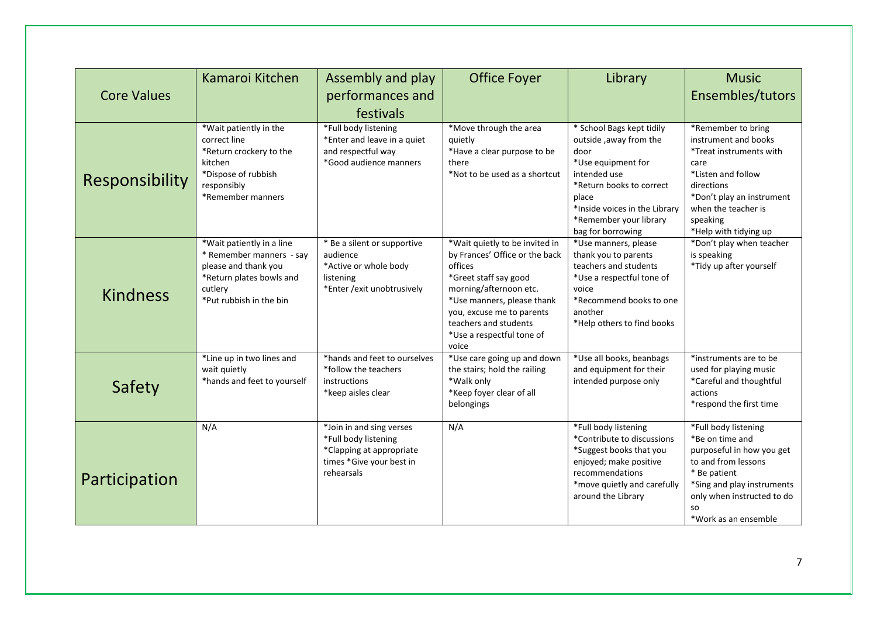| <b>Core Values</b> | Kamaroi Kitchen                                                                                                                                 | Assembly and play<br>performances and<br>festivals                                                                     | Office Foyer                                                                                                                                                                                                                                             | Library                                                                                                                                                                                                                | <b>Music</b><br>Ensembles/tutors                                                                                                                                                                             |
|--------------------|-------------------------------------------------------------------------------------------------------------------------------------------------|------------------------------------------------------------------------------------------------------------------------|----------------------------------------------------------------------------------------------------------------------------------------------------------------------------------------------------------------------------------------------------------|------------------------------------------------------------------------------------------------------------------------------------------------------------------------------------------------------------------------|--------------------------------------------------------------------------------------------------------------------------------------------------------------------------------------------------------------|
| Responsibility     | *Wait patiently in the<br>correct line<br>*Return crockery to the<br>kitchen<br>*Dispose of rubbish<br>responsibly<br>*Remember manners         | *Full body listening<br>*Enter and leave in a quiet<br>and respectful way<br>*Good audience manners                    | *Move through the area<br>quietly<br>*Have a clear purpose to be<br>there<br>*Not to be used as a shortcut                                                                                                                                               | * School Bags kept tidily<br>outside, away from the<br>door<br>*Use equipment for<br>intended use<br>*Return books to correct<br>place<br>*Inside voices in the Library<br>*Remember your library<br>bag for borrowing | *Remember to bring<br>instrument and books<br>*Treat instruments with<br>care<br>*Listen and follow<br>directions<br>*Don't play an instrument<br>when the teacher is<br>speaking<br>*Help with tidying up   |
| <b>Kindness</b>    | *Wait patiently in a line<br>* Remember manners - say<br>please and thank you<br>*Return plates bowls and<br>cutlery<br>*Put rubbish in the bin | * Be a silent or supportive<br>audience<br>*Active or whole body<br>listening<br>*Enter / exit unobtrusively           | *Wait quietly to be invited in<br>by Frances' Office or the back<br>offices<br>*Greet staff say good<br>morning/afternoon etc.<br>*Use manners, please thank<br>you, excuse me to parents<br>teachers and students<br>*Use a respectful tone of<br>voice | *Use manners, please<br>thank you to parents<br>teachers and students<br>*Use a respectful tone of<br>voice<br>*Recommend books to one<br>another<br>*Help others to find books                                        | *Don't play when teacher<br>is speaking<br>*Tidy up after yourself                                                                                                                                           |
| Safety             | *Line up in two lines and<br>wait quietly<br>*hands and feet to yourself                                                                        | *hands and feet to ourselves<br>*follow the teachers<br>instructions<br>*keep aisles clear                             | *Use care going up and down<br>the stairs; hold the railing<br>*Walk only<br>*Keep foyer clear of all<br>belongings                                                                                                                                      | *Use all books, beanbags<br>and equipment for their<br>intended purpose only                                                                                                                                           | *instruments are to be<br>used for playing music<br>*Careful and thoughtful<br>actions<br>*respond the first time                                                                                            |
| Participation      | N/A                                                                                                                                             | *Join in and sing verses<br>*Full body listening<br>*Clapping at appropriate<br>times *Give your best in<br>rehearsals | N/A                                                                                                                                                                                                                                                      | *Full body listening<br>*Contribute to discussions<br>*Suggest books that you<br>enjoyed; make positive<br>recommendations<br>*move quietly and carefully<br>around the Library                                        | *Full body listening<br>*Be on time and<br>purposeful in how you get<br>to and from lessons<br>* Be patient<br>*Sing and play instruments<br>only when instructed to do<br><b>SO</b><br>*Work as an ensemble |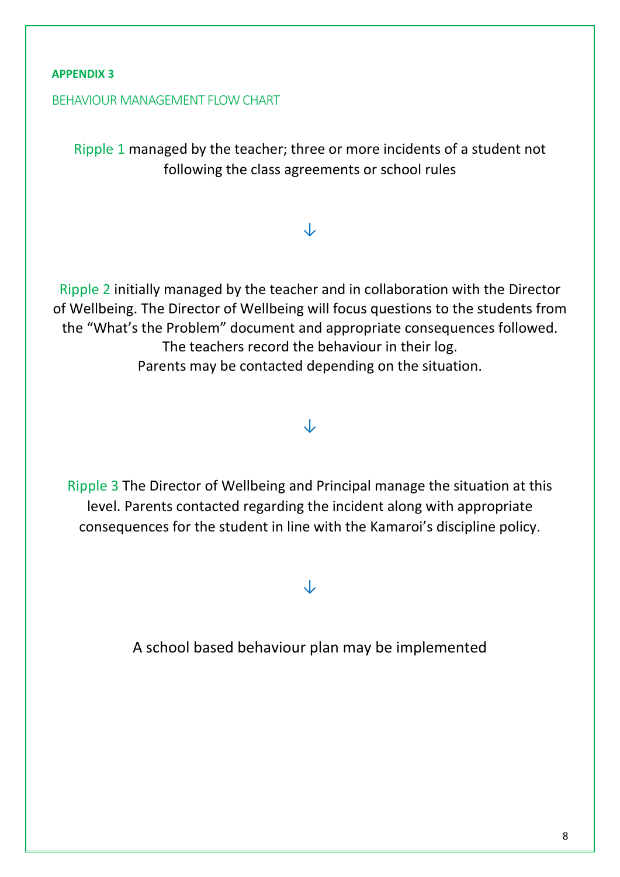# **APPENDIX 3**

# BEHAVIOUR MANAGEMENT FLOW CHART

Ripple 1 managed by the teacher; three or more incidents of a student not following the class agreements or school rules

# ↓

Ripple 2 initially managed by the teacher and in collaboration with the Director of Wellbeing. The Director of Wellbeing will focus questions to the students from the "What's the Problem" document and appropriate consequences followed. The teachers record the behaviour in their log. Parents may be contacted depending on the situation.

# ↓

Ripple 3 The Director of Wellbeing and Principal manage the situation at this level. Parents contacted regarding the incident along with appropriate consequences for the student in line with the Kamaroi's discipline policy.

↓

A school based behaviour plan may be implemented